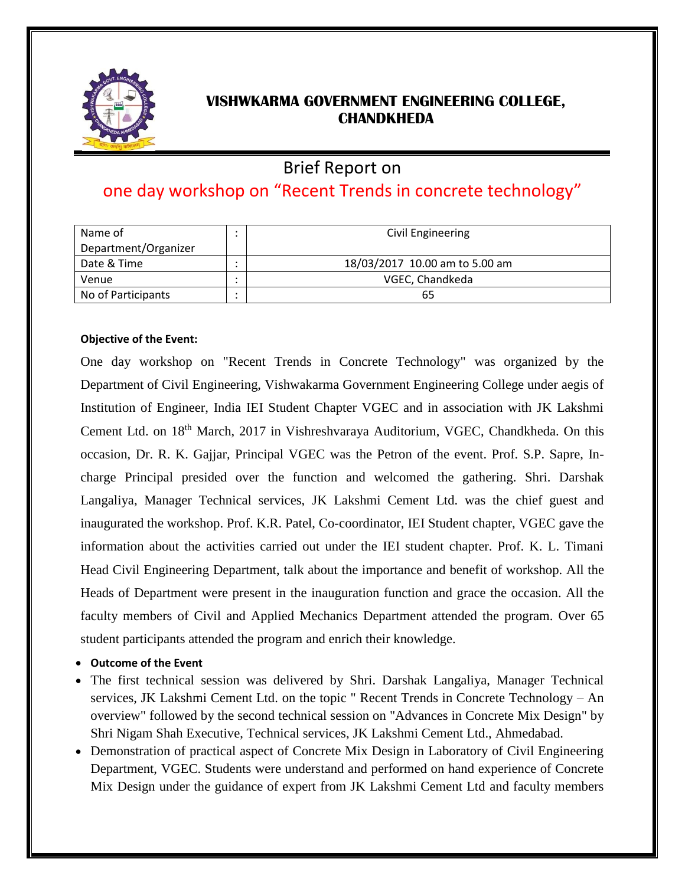

## **VISHWKARMA GOVERNMENT ENGINEERING COLLEGE, CHANDKHEDA**

# Brief Report on

# one day workshop on "Recent Trends in concrete technology"

| Name of              | Civil Engineering              |
|----------------------|--------------------------------|
| Department/Organizer |                                |
| Date & Time          | 18/03/2017 10.00 am to 5.00 am |
| Venue                | VGEC, Chandkeda                |
| No of Participants   | 65                             |

#### **Objective of the Event:**

One day workshop on "Recent Trends in Concrete Technology" was organized by the Department of Civil Engineering, Vishwakarma Government Engineering College under aegis of Institution of Engineer, India IEI Student Chapter VGEC and in association with JK Lakshmi Cement Ltd. on 18th March, 2017 in Vishreshvaraya Auditorium, VGEC, Chandkheda. On this occasion, Dr. R. K. Gajjar, Principal VGEC was the Petron of the event. Prof. S.P. Sapre, Incharge Principal presided over the function and welcomed the gathering. Shri. Darshak Langaliya, Manager Technical services, JK Lakshmi Cement Ltd. was the chief guest and inaugurated the workshop. Prof. K.R. Patel, Co-coordinator, IEI Student chapter, VGEC gave the information about the activities carried out under the IEI student chapter. Prof. K. L. Timani Head Civil Engineering Department, talk about the importance and benefit of workshop. All the Heads of Department were present in the inauguration function and grace the occasion. All the faculty members of Civil and Applied Mechanics Department attended the program. Over 65 student participants attended the program and enrich their knowledge.

### **Outcome of the Event**

- The first technical session was delivered by Shri. Darshak Langaliya, Manager Technical services, JK Lakshmi Cement Ltd. on the topic " Recent Trends in Concrete Technology – An overview" followed by the second technical session on "Advances in Concrete Mix Design" by Shri Nigam Shah Executive, Technical services, JK Lakshmi Cement Ltd., Ahmedabad.
- Demonstration of practical aspect of Concrete Mix Design in Laboratory of Civil Engineering Department, VGEC. Students were understand and performed on hand experience of Concrete Mix Design under the guidance of expert from JK Lakshmi Cement Ltd and faculty members